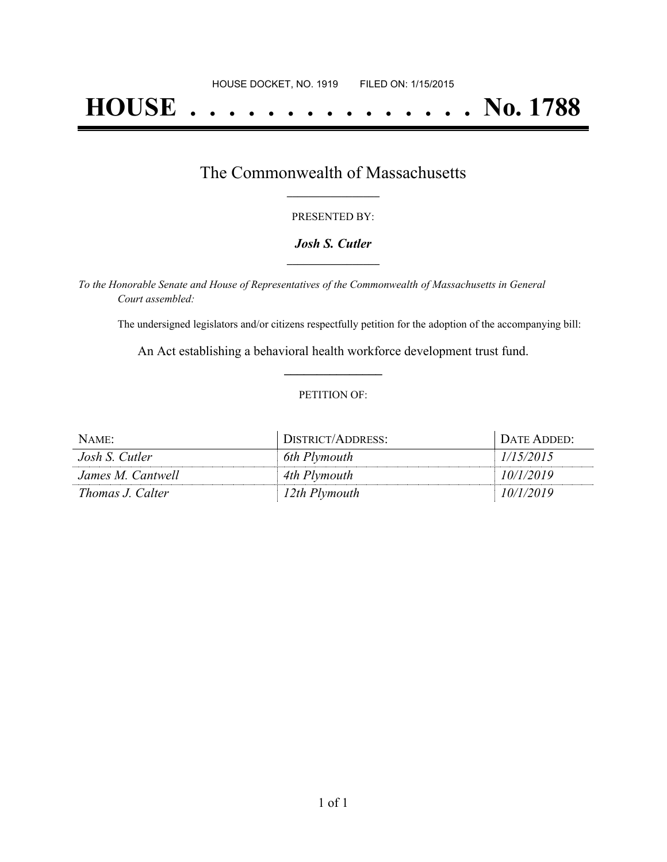# **HOUSE . . . . . . . . . . . . . . . No. 1788**

### The Commonwealth of Massachusetts **\_\_\_\_\_\_\_\_\_\_\_\_\_\_\_\_\_**

#### PRESENTED BY:

#### *Josh S. Cutler* **\_\_\_\_\_\_\_\_\_\_\_\_\_\_\_\_\_**

*To the Honorable Senate and House of Representatives of the Commonwealth of Massachusetts in General Court assembled:*

The undersigned legislators and/or citizens respectfully petition for the adoption of the accompanying bill:

An Act establishing a behavioral health workforce development trust fund. **\_\_\_\_\_\_\_\_\_\_\_\_\_\_\_**

#### PETITION OF:

| NAME:             | DISTRICT/ADDRESS: | Date Added:- |
|-------------------|-------------------|--------------|
| Josh S. Cutler    | 6th Plymouth      | 1/15/2015    |
| James M. Cantwell | 4th Plymouth      | 10/1/2019    |
| Thomas J. Calter  | 12th Plymouth     | 10/1/2019    |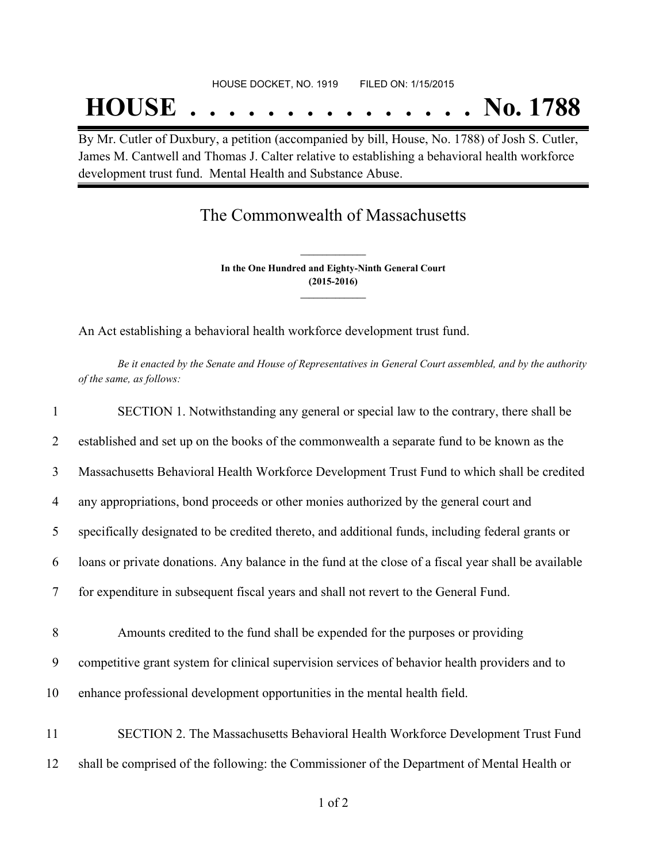## **HOUSE . . . . . . . . . . . . . . . No. 1788**

By Mr. Cutler of Duxbury, a petition (accompanied by bill, House, No. 1788) of Josh S. Cutler, James M. Cantwell and Thomas J. Calter relative to establishing a behavioral health workforce development trust fund. Mental Health and Substance Abuse.

### The Commonwealth of Massachusetts

**In the One Hundred and Eighty-Ninth General Court (2015-2016) \_\_\_\_\_\_\_\_\_\_\_\_\_\_\_**

**\_\_\_\_\_\_\_\_\_\_\_\_\_\_\_**

An Act establishing a behavioral health workforce development trust fund.

Be it enacted by the Senate and House of Representatives in General Court assembled, and by the authority *of the same, as follows:*

| $\mathbf{1}$ | SECTION 1. Notwithstanding any general or special law to the contrary, there shall be                |
|--------------|------------------------------------------------------------------------------------------------------|
| 2            | established and set up on the books of the commonwealth a separate fund to be known as the           |
| 3            | Massachusetts Behavioral Health Workforce Development Trust Fund to which shall be credited          |
| 4            | any appropriations, bond proceeds or other monies authorized by the general court and                |
| 5            | specifically designated to be credited thereto, and additional funds, including federal grants or    |
| 6            | loans or private donations. Any balance in the fund at the close of a fiscal year shall be available |
| 7            | for expenditure in subsequent fiscal years and shall not revert to the General Fund.                 |
| 8            | Amounts credited to the fund shall be expended for the purposes or providing                         |
| 9            | competitive grant system for clinical supervision services of behavior health providers and to       |
| 10           | enhance professional development opportunities in the mental health field.                           |
| 11           | SECTION 2. The Massachusetts Behavioral Health Workforce Development Trust Fund                      |
| 12           | shall be comprised of the following: the Commissioner of the Department of Mental Health or          |
|              |                                                                                                      |